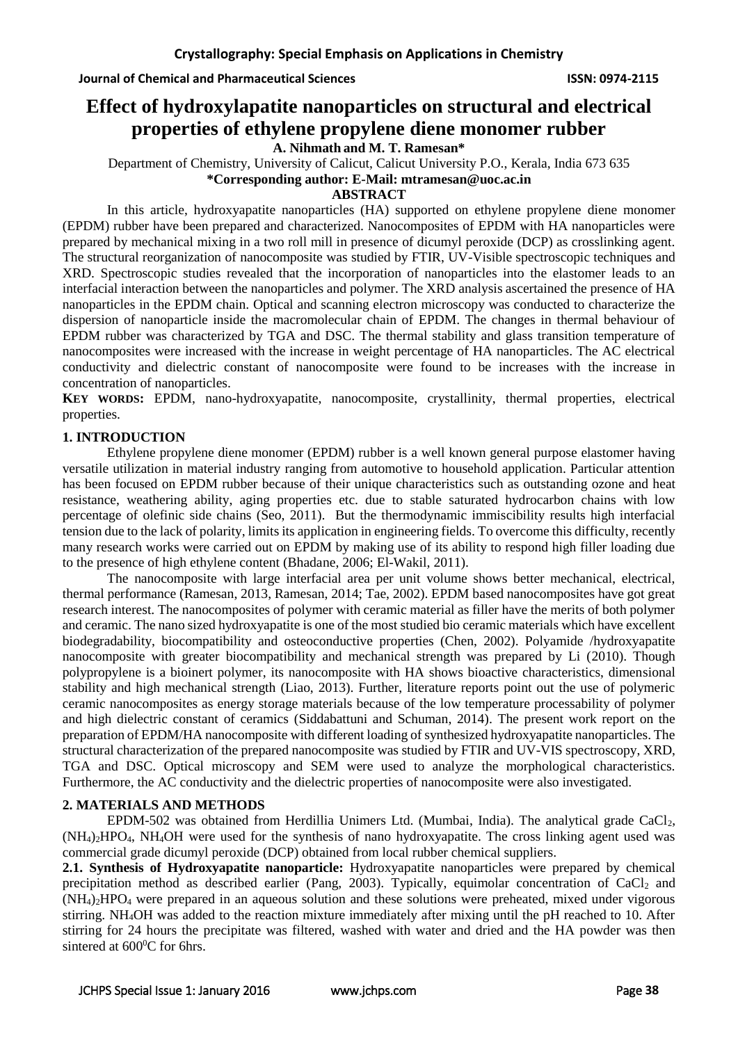# **Effect of hydroxylapatite nanoparticles on structural and electrical properties of ethylene propylene diene monomer rubber**

**A. Nihmath and M. T. Ramesan\***

Department of Chemistry, University of Calicut, Calicut University P.O., Kerala, India 673 635 **\*Corresponding author: E-Mail: [mtramesan@uoc.ac.in](mailto:mtramesan@uoc.ac.in)**

## **ABSTRACT**

In this article, hydroxyapatite nanoparticles (HA) supported on ethylene propylene diene monomer (EPDM) rubber have been prepared and characterized. Nanocomposites of EPDM with HA nanoparticles were prepared by mechanical mixing in a two roll mill in presence of dicumyl peroxide (DCP) as crosslinking agent. The structural reorganization of nanocomposite was studied by FTIR, UV-Visible spectroscopic techniques and XRD. Spectroscopic studies revealed that the incorporation of nanoparticles into the elastomer leads to an interfacial interaction between the nanoparticles and polymer. The XRD analysis ascertained the presence of HA nanoparticles in the EPDM chain. Optical and scanning electron microscopy was conducted to characterize the dispersion of nanoparticle inside the macromolecular chain of EPDM. The changes in thermal behaviour of EPDM rubber was characterized by TGA and DSC. The thermal stability and glass transition temperature of nanocomposites were increased with the increase in weight percentage of HA nanoparticles. The AC electrical conductivity and dielectric constant of nanocomposite were found to be increases with the increase in concentration of nanoparticles.

**KEY WORDS:** EPDM, nano-hydroxyapatite, nanocomposite, crystallinity, thermal properties, electrical properties.

### **1. INTRODUCTION**

Ethylene propylene diene monomer (EPDM) rubber is a well known general purpose elastomer having versatile utilization in material industry ranging from automotive to household application. Particular attention has been focused on EPDM rubber because of their unique characteristics such as outstanding ozone and heat resistance, weathering ability, aging properties etc. due to stable saturated hydrocarbon chains with low percentage of olefinic side chains (Seo, 2011). But the thermodynamic immiscibility results high interfacial tension due to the lack of polarity, limits its application in engineering fields. To overcome this difficulty, recently many research works were carried out on EPDM by making use of its ability to respond high filler loading due to the presence of high ethylene content (Bhadane, 2006; El-Wakil, 2011).

The nanocomposite with large interfacial area per unit volume shows better mechanical, electrical, thermal performance (Ramesan, 2013, Ramesan, 2014; Tae, 2002). EPDM based nanocomposites have got great research interest. The nanocomposites of polymer with ceramic material as filler have the merits of both polymer and ceramic. The nano sized hydroxyapatite is one of the most studied bio ceramic materials which have excellent biodegradability, biocompatibility and osteoconductive properties (Chen, 2002). Polyamide /hydroxyapatite nanocomposite with greater biocompatibility and mechanical strength was prepared by Li (2010). Though polypropylene is a bioinert polymer, its nanocomposite with HA shows bioactive characteristics, dimensional stability and high mechanical strength (Liao, 2013). Further, literature reports point out the use of polymeric ceramic nanocomposites as energy storage materials because of the low temperature processability of polymer and high dielectric constant of ceramics (Siddabattuni and Schuman, 2014). The present work report on the preparation of EPDM/HA nanocomposite with different loading of synthesized hydroxyapatite nanoparticles. The structural characterization of the prepared nanocomposite was studied by FTIR and UV-VIS spectroscopy, XRD, TGA and DSC. Optical microscopy and SEM were used to analyze the morphological characteristics. Furthermore, the AC conductivity and the dielectric properties of nanocomposite were also investigated.

### **2. MATERIALS AND METHODS**

EPDM-502 was obtained from Herdillia Unimers Ltd. (Mumbai, India). The analytical grade CaCl<sub>2</sub>, (NH4)2HPO4, NH4OH were used for the synthesis of nano hydroxyapatite. The cross linking agent used was commercial grade dicumyl peroxide (DCP) obtained from local rubber chemical suppliers.

**2.1. Synthesis of Hydroxyapatite nanoparticle:** Hydroxyapatite nanoparticles were prepared by chemical precipitation method as described earlier (Pang, 2003). Typically, equimolar concentration of  $CaCl<sub>2</sub>$  and  $(NH<sub>4</sub>)<sub>2</sub>HPO<sub>4</sub>$  were prepared in an aqueous solution and these solutions were preheated, mixed under vigorous stirring. NH4OH was added to the reaction mixture immediately after mixing until the pH reached to 10. After stirring for 24 hours the precipitate was filtered, washed with water and dried and the HA powder was then sintered at  $600^{\circ}$ C for 6hrs.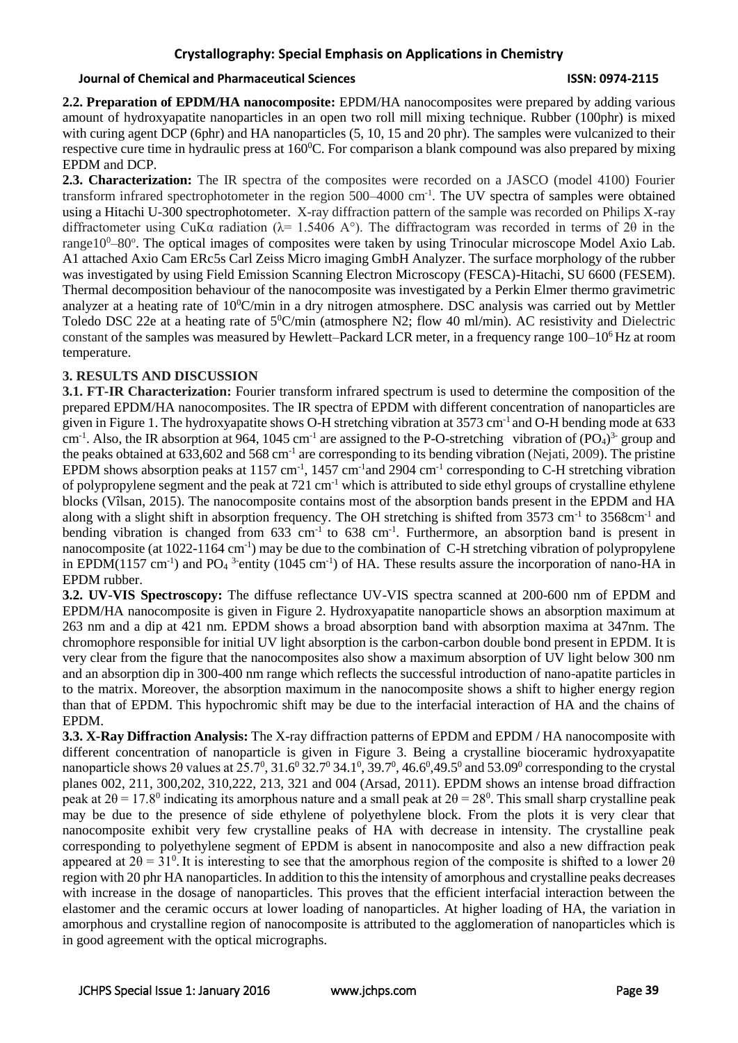### **Crystallography: Special Emphasis on Applications in Chemistry**

### **Journal of Chemical and Pharmaceutical Sciences ISSN: 0974-2115**

**2.2. Preparation of EPDM/HA nanocomposite:** EPDM/HA nanocomposites were prepared by adding various amount of hydroxyapatite nanoparticles in an open two roll mill mixing technique. Rubber (100phr) is mixed with curing agent DCP (6phr) and HA nanoparticles (5, 10, 15 and 20 phr). The samples were vulcanized to their respective cure time in hydraulic press at 160<sup>0</sup>C. For comparison a blank compound was also prepared by mixing EPDM and DCP.

**2.3. Characterization:** The IR spectra of the composites were recorded on a JASCO (model 4100) Fourier transform infrared spectrophotometer in the region 500–4000 cm<sup>-1</sup>. The UV spectra of samples were obtained using a Hitachi U-300 spectrophotometer. X-ray diffraction pattern of the sample was recorded on Philips X-ray diffractometer using CuKa radiation ( $\lambda$ = 1.5406 A°). The diffractogram was recorded in terms of 2θ in the range10<sup>0</sup>–80°. The optical images of composites were taken by using Trinocular microscope Model Axio Lab. A1 attached Axio Cam ERc5s Carl Zeiss Micro imaging GmbH Analyzer. The surface morphology of the rubber was investigated by using Field Emission Scanning Electron Microscopy (FESCA)-Hitachi, SU 6600 (FESEM). Thermal decomposition behaviour of the nanocomposite was investigated by a Perkin Elmer thermo gravimetric analyzer at a heating rate of  $10^{\circ}$ C/min in a dry nitrogen atmosphere. DSC analysis was carried out by Mettler Toledo DSC 22e at a heating rate of  $5^0C/\text{min}$  (atmosphere N2; flow 40 ml/min). AC resistivity and Dielectric constant of the samples was measured by Hewlett–Packard LCR meter, in a frequency range  $100-10^6$  Hz at room temperature.

### **3. RESULTS AND DISCUSSION**

**3.1. FT-IR Characterization:** Fourier transform infrared spectrum is used to determine the composition of the prepared EPDM/HA nanocomposites. The IR spectra of EPDM with different concentration of nanoparticles are given in Figure 1. The hydroxyapatite shows O-H stretching vibration at 3573 cm-1 and O-H bending mode at 633 cm<sup>-1</sup>. Also, the IR absorption at 964, 1045 cm<sup>-1</sup> are assigned to the P-O-stretching vibration of  $(PO<sub>4</sub>)<sup>3</sup>$ -group and the peaks obtained at  $633,602$  and  $568 \text{ cm}^{-1}$  are corresponding to its bending vibration (Nejati, 2009). The pristine EPDM shows absorption peaks at 1157 cm<sup>-1</sup>, 1457 cm<sup>-1</sup> and 2904 cm<sup>-1</sup> corresponding to C-H stretching vibration of polypropylene segment and the peak at 721 cm-1 which is attributed to side ethyl groups of crystalline ethylene blocks (Vîlsan, 2015). The nanocomposite contains most of the absorption bands present in the EPDM and HA along with a slight shift in absorption frequency. The OH stretching is shifted from 3573 cm<sup>-1</sup> to 3568cm<sup>-1</sup> and bending vibration is changed from  $633 \text{ cm}^{-1}$  to  $638 \text{ cm}^{-1}$ . Furthermore, an absorption band is present in nanocomposite (at 1022-1164 cm<sup>-1</sup>) may be due to the combination of C-H stretching vibration of polypropylene in EPDM(1157 cm<sup>-1</sup>) and PO<sub>4</sub><sup>3-</sup>entity (1045 cm<sup>-1</sup>) of HA. These results assure the incorporation of nano-HA in EPDM rubber.

**3.2. UV-VIS Spectroscopy:** The diffuse reflectance UV-VIS spectra scanned at 200-600 nm of EPDM and EPDM/HA nanocomposite is given in Figure 2. Hydroxyapatite nanoparticle shows an absorption maximum at 263 nm and a dip at 421 nm. EPDM shows a broad absorption band with absorption maxima at 347nm. The chromophore responsible for initial UV light absorption is the carbon-carbon double bond present in EPDM. It is very clear from the figure that the nanocomposites also show a maximum absorption of UV light below 300 nm and an absorption dip in 300-400 nm range which reflects the successful introduction of nano-apatite particles in to the matrix. Moreover, the absorption maximum in the nanocomposite shows a shift to higher energy region than that of EPDM. This hypochromic shift may be due to the interfacial interaction of HA and the chains of EPDM.

**3.3. X-Ray Diffraction Analysis:** The X-ray diffraction patterns of EPDM and EPDM / HA nanocomposite with different concentration of nanoparticle is given in Figure 3. Being a crystalline bioceramic hydroxyapatite nanoparticle shows 2 $\theta$  values at 25.7<sup>0</sup>, 31.6<sup>0</sup> 32.7<sup>0</sup> 34.1<sup>0</sup>, 39.7<sup>0</sup>, 46.6<sup>0</sup>,49.5<sup>0</sup> and 53.09<sup>0</sup> corresponding to the crystal planes 002, 211, 300,202, 310,222, 213, 321 and 004 (Arsad, 2011). EPDM shows an intense broad diffraction peak at  $2\theta = 17.8^{\circ}$  indicating its amorphous nature and a small peak at  $2\theta = 28^{\circ}$ . This small sharp crystalline peak may be due to the presence of side ethylene of polyethylene block. From the plots it is very clear that nanocomposite exhibit very few crystalline peaks of HA with decrease in intensity. The crystalline peak corresponding to polyethylene segment of EPDM is absent in nanocomposite and also a new diffraction peak appeared at  $2\theta = 31^{\circ}$ . It is interesting to see that the amorphous region of the composite is shifted to a lower  $2\theta$ region with 20 phr HA nanoparticles. In addition to this the intensity of amorphous and crystalline peaks decreases with increase in the dosage of nanoparticles. This proves that the efficient interfacial interaction between the elastomer and the ceramic occurs at lower loading of nanoparticles. At higher loading of HA, the variation in amorphous and crystalline region of nanocomposite is attributed to the agglomeration of nanoparticles which is in good agreement with the optical micrographs.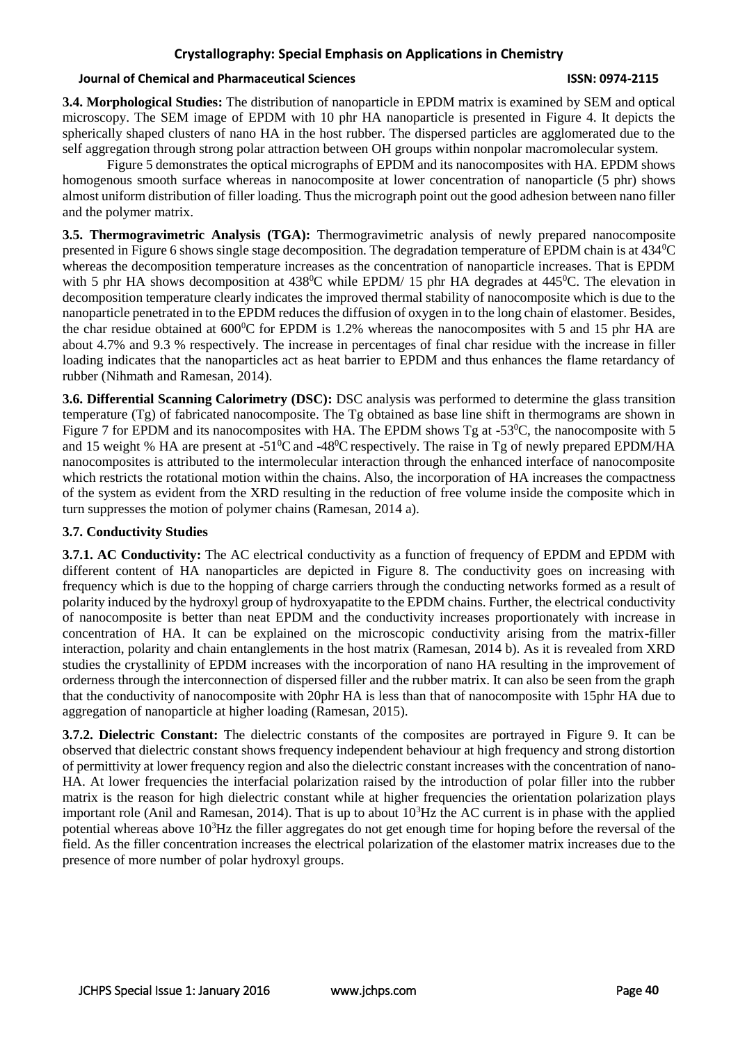### **Crystallography: Special Emphasis on Applications in Chemistry**

### **Journal of Chemical and Pharmaceutical Sciences ISSN: 0974-2115**

**3.4. Morphological Studies:** The distribution of nanoparticle in EPDM matrix is examined by SEM and optical microscopy. The SEM image of EPDM with 10 phr HA nanoparticle is presented in Figure 4. It depicts the spherically shaped clusters of nano HA in the host rubber. The dispersed particles are agglomerated due to the self aggregation through strong polar attraction between OH groups within nonpolar macromolecular system.

Figure 5 demonstrates the optical micrographs of EPDM and its nanocomposites with HA. EPDM shows homogenous smooth surface whereas in nanocomposite at lower concentration of nanoparticle (5 phr) shows almost uniform distribution of filler loading. Thus the micrograph point out the good adhesion between nano filler and the polymer matrix.

**3.5. Thermogravimetric Analysis (TGA):** Thermogravimetric analysis of newly prepared nanocomposite presented in Figure 6 shows single stage decomposition. The degradation temperature of EPDM chain is at 434<sup>0</sup>C whereas the decomposition temperature increases as the concentration of nanoparticle increases. That is EPDM with 5 phr HA shows decomposition at  $438^{\circ}$ C while EPDM/ 15 phr HA degrades at  $445^{\circ}$ C. The elevation in decomposition temperature clearly indicates the improved thermal stability of nanocomposite which is due to the nanoparticle penetrated in to the EPDM reduces the diffusion of oxygen in to the long chain of elastomer. Besides, the char residue obtained at  $600^{\circ}$ C for EPDM is 1.2% whereas the nanocomposites with 5 and 15 phr HA are about 4.7% and 9.3 % respectively. The increase in percentages of final char residue with the increase in filler loading indicates that the nanoparticles act as heat barrier to EPDM and thus enhances the flame retardancy of rubber (Nihmath and Ramesan, 2014).

**3.6. Differential Scanning Calorimetry (DSC):** DSC analysis was performed to determine the glass transition temperature (Tg) of fabricated nanocomposite. The Tg obtained as base line shift in thermograms are shown in Figure 7 for EPDM and its nanocomposites with HA. The EPDM shows Tg at -53<sup>o</sup>C, the nanocomposite with 5 and 15 weight % HA are present at -51<sup>0</sup>C and -48<sup>0</sup>C respectively. The raise in Tg of newly prepared EPDM/HA nanocomposites is attributed to the intermolecular interaction through the enhanced interface of nanocomposite which restricts the rotational motion within the chains. Also, the incorporation of HA increases the compactness of the system as evident from the XRD resulting in the reduction of free volume inside the composite which in turn suppresses the motion of polymer chains (Ramesan, 2014 a).

### **3.7. Conductivity Studies**

**3.7.1. AC Conductivity:** The AC electrical conductivity as a function of frequency of EPDM and EPDM with different content of HA nanoparticles are depicted in Figure 8. The conductivity goes on increasing with frequency which is due to the hopping of charge carriers through the conducting networks formed as a result of polarity induced by the hydroxyl group of hydroxyapatite to the EPDM chains. Further, the electrical conductivity of nanocomposite is better than neat EPDM and the conductivity increases proportionately with increase in concentration of HA. It can be explained on the microscopic conductivity arising from the matrix-filler interaction, polarity and chain entanglements in the host matrix (Ramesan, 2014 b). As it is revealed from XRD studies the crystallinity of EPDM increases with the incorporation of nano HA resulting in the improvement of orderness through the interconnection of dispersed filler and the rubber matrix. It can also be seen from the graph that the conductivity of nanocomposite with 20phr HA is less than that of nanocomposite with 15phr HA due to aggregation of nanoparticle at higher loading (Ramesan, 2015).

**3.7.2. Dielectric Constant:** The dielectric constants of the composites are portrayed in Figure 9. It can be observed that dielectric constant shows frequency independent behaviour at high frequency and strong distortion of permittivity at lower frequency region and also the dielectric constant increases with the concentration of nano-HA. At lower frequencies the interfacial polarization raised by the introduction of polar filler into the rubber matrix is the reason for high dielectric constant while at higher frequencies the orientation polarization plays important role (Anil and Ramesan, 2014). That is up to about  $10<sup>3</sup>$ Hz the AC current is in phase with the applied potential whereas above  $10^3$ Hz the filler aggregates do not get enough time for hoping before the reversal of the field. As the filler concentration increases the electrical polarization of the elastomer matrix increases due to the presence of more number of polar hydroxyl groups.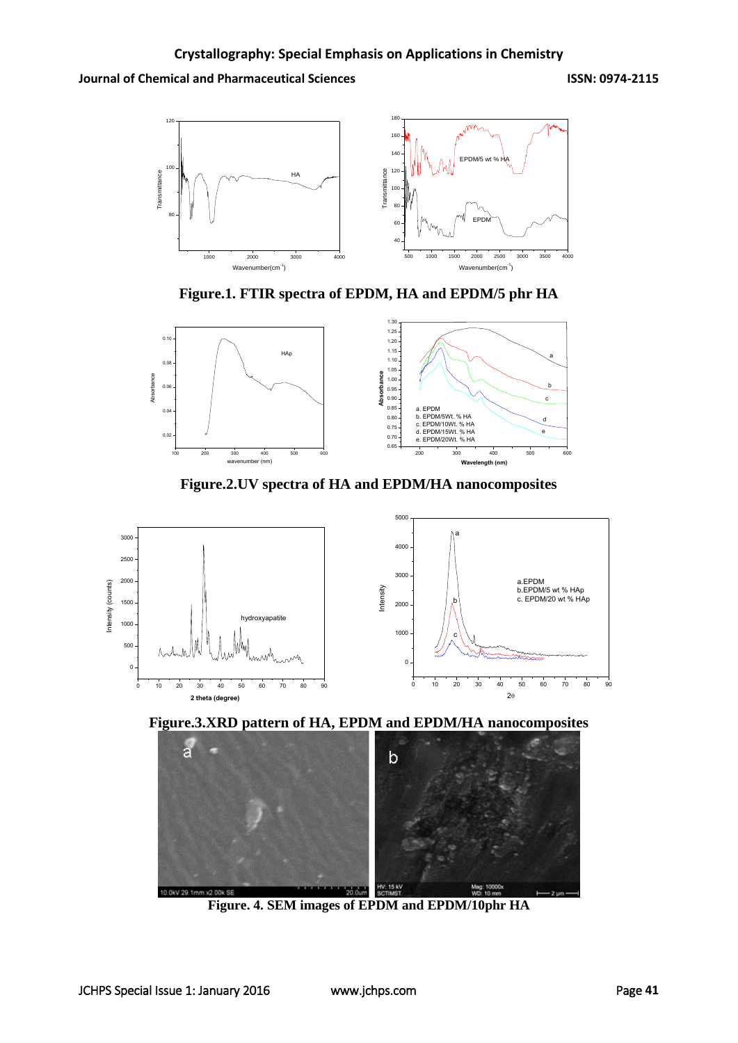

**Figure.1. FTIR spectra of EPDM, HA and EPDM/5 phr HA**



**Figure.2.UV spectra of HA and EPDM/HA nanocomposites**







**Figure. 4. SEM images of EPDM and EPDM/10phr HA**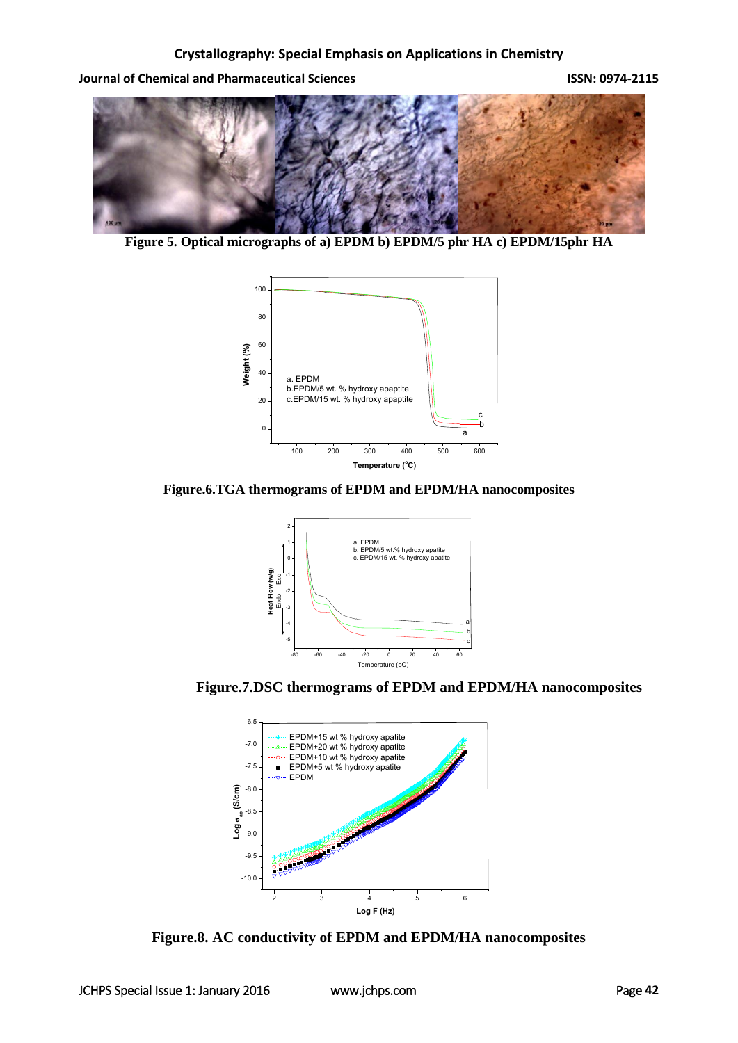

**Figure 5. Optical micrographs of a) EPDM b) EPDM/5 phr HA c) EPDM/15phr HA**



**Figure.6.TGA thermograms of EPDM and EPDM/HA nanocomposites**



**Figure.7.DSC thermograms of EPDM and EPDM/HA nanocomposites**



**Figure.8. AC conductivity of EPDM and EPDM/HA nanocomposites**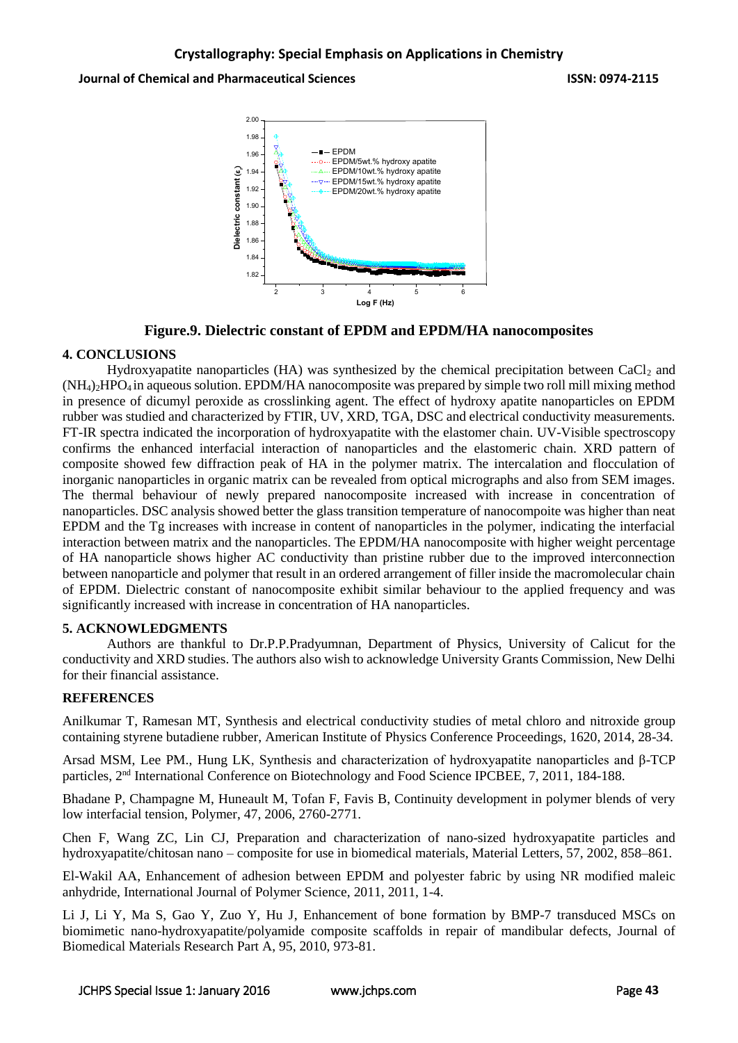

**Figure.9. Dielectric constant of EPDM and EPDM/HA nanocomposites**

### **4. CONCLUSIONS**

Hydroxyapatite nanoparticles (HA) was synthesized by the chemical precipitation between  $CaCl<sub>2</sub>$  and  $(NH<sub>4</sub>)<sub>2</sub>HPO<sub>4</sub>$  in aqueous solution. EPDM/HA nanocomposite was prepared by simple two roll mill mixing method in presence of dicumyl peroxide as crosslinking agent. The effect of hydroxy apatite nanoparticles on EPDM rubber was studied and characterized by FTIR, UV, XRD, TGA, DSC and electrical conductivity measurements. FT-IR spectra indicated the incorporation of hydroxyapatite with the elastomer chain. UV-Visible spectroscopy confirms the enhanced interfacial interaction of nanoparticles and the elastomeric chain. XRD pattern of composite showed few diffraction peak of HA in the polymer matrix. The intercalation and flocculation of inorganic nanoparticles in organic matrix can be revealed from optical micrographs and also from SEM images. The thermal behaviour of newly prepared nanocomposite increased with increase in concentration of nanoparticles. DSC analysis showed better the glass transition temperature of nanocompoite was higher than neat EPDM and the Tg increases with increase in content of nanoparticles in the polymer, indicating the interfacial interaction between matrix and the nanoparticles. The EPDM/HA nanocomposite with higher weight percentage of HA nanoparticle shows higher AC conductivity than pristine rubber due to the improved interconnection between nanoparticle and polymer that result in an ordered arrangement of filler inside the macromolecular chain of EPDM. Dielectric constant of nanocomposite exhibit similar behaviour to the applied frequency and was significantly increased with increase in concentration of HA nanoparticles.

### **5. ACKNOWLEDGMENTS**

Authors are thankful to Dr.P.P.Pradyumnan, Department of Physics, University of Calicut for the conductivity and XRD studies. The authors also wish to acknowledge University Grants Commission, New Delhi for their financial assistance.

### **REFERENCES**

Anilkumar T, Ramesan MT, Synthesis and electrical conductivity studies of metal chloro and nitroxide group containing styrene butadiene rubber, American Institute of Physics Conference Proceedings, 1620, 2014, 28-34.

Arsad MSM, Lee PM., Hung LK, Synthesis and characterization of hydroxyapatite nanoparticles and β-TCP particles, 2<sup>nd</sup> International Conference on Biotechnology and Food Science IPCBEE, 7, 2011, 184-188.

Bhadane P, Champagne M, Huneault M, Tofan F, Favis B, Continuity development in polymer blends of very low interfacial tension, Polymer, 47, 2006, 2760-2771.

Chen F, Wang ZC, Lin CJ, Preparation and characterization of nano-sized hydroxyapatite particles and hydroxyapatite/chitosan nano – composite for use in biomedical materials, Material Letters, 57, 2002, 858–861.

El-Wakil AA, Enhancement of adhesion between EPDM and polyester fabric by using NR modified maleic anhydride, International Journal of Polymer Science, 2011, 2011, 1-4.

Li J, Li Y, Ma S, Gao Y, Zuo Y, Hu J, Enhancement of bone formation by BMP-7 transduced MSCs on biomimetic nano-hydroxyapatite/polyamide composite scaffolds in repair of mandibular defects, Journal of Biomedical Materials Research Part A, 95, 2010, 973-81.